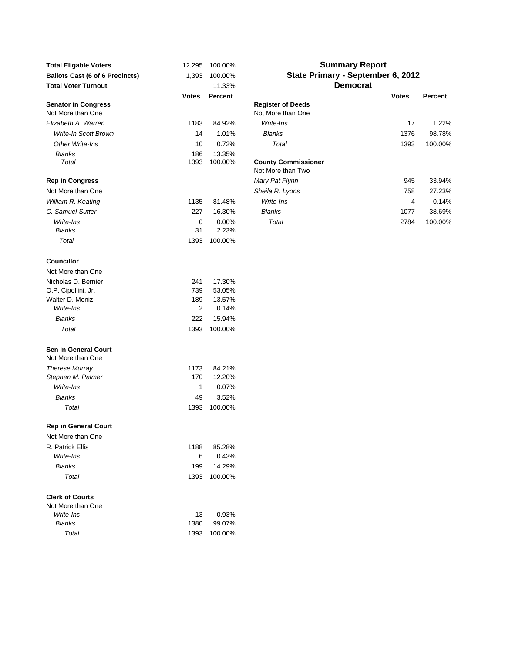| <b>Total Eligable Voters</b>                     | 12,295       | 100.00%         |                                                 |
|--------------------------------------------------|--------------|-----------------|-------------------------------------------------|
| <b>Ballots Cast (6 of 6 Precincts)</b>           | 1,393        | 100.00%         | <b>State Prin</b>                               |
| <b>Total Voter Turnout</b>                       |              | 11.33%          |                                                 |
|                                                  | <b>Votes</b> | <b>Percent</b>  |                                                 |
| <b>Senator in Congress</b><br>Not More than One  |              |                 | <b>Register of Deeds</b><br>Not More than One   |
| Elizabeth A. Warren                              | 1183         | 84.92%          | Write-Ins                                       |
| <b>Write-In Scott Brown</b>                      | 14           | 1.01%           | <b>Blanks</b>                                   |
| Other Write-Ins                                  | 10           | 0.72%           | Total                                           |
| Blanks                                           | 186          | 13.35%          |                                                 |
| Total                                            | 1393         | 100.00%         | <b>County Commissioner</b><br>Not More than Two |
| <b>Rep in Congress</b>                           |              |                 | Mary Pat Flynn                                  |
| Not More than One                                |              |                 | Sheila R. Lyons                                 |
| William R. Keating                               | 1135         | 81.48%          | Write-Ins                                       |
| C. Samuel Sutter                                 | 227          | 16.30%          | <b>Blanks</b>                                   |
| Write-Ins                                        | 0            | $0.00\%$        | Total                                           |
| <b>Blanks</b>                                    | 31           | 2.23%           |                                                 |
| Total                                            | 1393         | 100.00%         |                                                 |
| <b>Councillor</b>                                |              |                 |                                                 |
| Not More than One                                |              |                 |                                                 |
| Nicholas D. Bernier                              | 241          | 17.30%          |                                                 |
| O.P. Cipollini, Jr.                              | 739          | 53.05%          |                                                 |
| Walter D. Moniz<br>Write-Ins                     | 189<br>2     | 13.57%<br>0.14% |                                                 |
| <b>Blanks</b>                                    | 222          | 15.94%          |                                                 |
| Total                                            | 1393         | 100.00%         |                                                 |
|                                                  |              |                 |                                                 |
| <b>Sen in General Court</b><br>Not More than One |              |                 |                                                 |
| <b>Therese Murray</b>                            | 1173         | 84.21%          |                                                 |
| Stephen M. Palmer                                | 170          | 12.20%          |                                                 |
| Write-Ins                                        | 1            | 0.07%           |                                                 |
| <b>Blanks</b>                                    | 49           | 3.52%           |                                                 |
| Total                                            | 1393         | 100.00%         |                                                 |
| <b>Rep in General Court</b>                      |              |                 |                                                 |
| Not More than One                                |              |                 |                                                 |
| R. Patrick Ellis                                 | 1188         | 85.28%          |                                                 |
| Write-Ins                                        | 6            | 0.43%           |                                                 |
| <b>Blanks</b>                                    | 199          | 14.29%          |                                                 |
| Total                                            | 1393         | 100.00%         |                                                 |
| <b>Clerk of Courts</b><br>Not More than One      |              |                 |                                                 |
| Write-Ins                                        | 13           | 0.93%           |                                                 |
| <b>Blanks</b>                                    | 1380         | 99.07%          |                                                 |
| Total                                            | 1393         | 100.00%         |                                                 |

## **Summary Report State Primary - September 6, 2012 Democrat**

|                                                 | <b>Votes</b> | Percent           |                                                 | <b>Votes</b> | Percent |
|-------------------------------------------------|--------------|-------------------|-------------------------------------------------|--------------|---------|
| <b>Senator in Congress</b><br>Not More than One |              |                   | <b>Register of Deeds</b><br>Not More than One   |              |         |
| Elizabeth A. Warren                             | 1183         | 84.92%            | Write-Ins                                       | 17           | 1.22%   |
| <b>Write-In Scott Brown</b>                     | 14           | 1.01%             | <b>Blanks</b>                                   | 1376         | 98.78%  |
| Other Write-Ins                                 | 10           | 0.72%             | Total                                           | 1393         | 100.00% |
| <b>Blanks</b><br>Total                          | 186<br>1393  | 13.35%<br>100.00% | <b>County Commissioner</b><br>Not More than Two |              |         |
| <b>Rep in Congress</b>                          |              |                   | Mary Pat Flynn                                  | 945          | 33.94%  |
| Not More than One                               |              |                   | Sheila R. Lyons                                 | 758          | 27.23%  |
| William R. Keating                              | 1135         | 81.48%            | Write-Ins                                       | 4            | 0.14%   |
| C. Samuel Sutter                                | 227          | 16.30%            | <b>Blanks</b>                                   | 1077         | 38.69%  |
| Write-Ins                                       | 0            | $0.00\%$          | Total                                           | 2784         | 100.00% |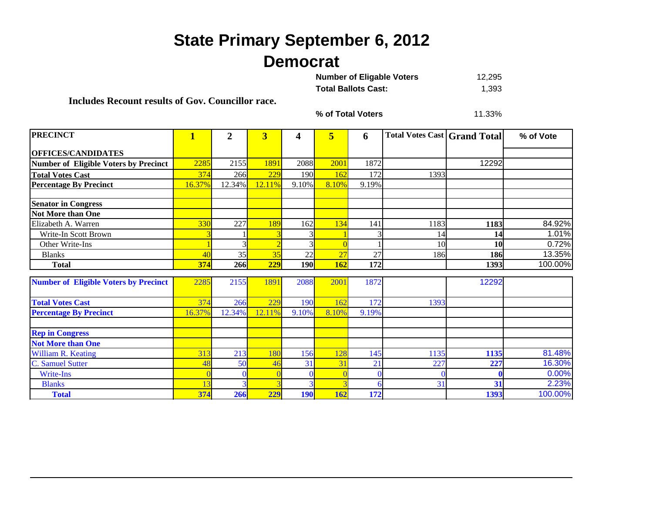## **State Primary September 6, 2012 Democrat**

| <b>Number of Eligable Voters</b> | 12.295 |
|----------------------------------|--------|
| <b>Total Ballots Cast:</b>       | 1.393  |

**Includes Recount results of Gov. Councillor race.**

**% of Total Voters**

11.33%

| <b>PRECINCT</b>                              | $\overline{\mathbf{1}}$ | $\overline{2}$ | 3      | 4          | 5     | 6        | <b>Total Votes Cast Grand Total</b> |       | % of Vote |
|----------------------------------------------|-------------------------|----------------|--------|------------|-------|----------|-------------------------------------|-------|-----------|
| <b>OFFICES/CANDIDATES</b>                    |                         |                |        |            |       |          |                                     |       |           |
| <b>Number of Eligible Voters by Precinct</b> | 2285                    | 2155           | 1891   | 2088       | 2001  | 1872     |                                     | 12292 |           |
| <b>Total Votes Cast</b>                      | 374                     | 266            | 229    | 190        | 162   | 172      | 1393                                |       |           |
| <b>Percentage By Precinct</b>                | 16.37%                  | 12.34%         | 12.11% | 9.10%      | 8.10% | 9.19%    |                                     |       |           |
| <b>Senator in Congress</b>                   |                         |                |        |            |       |          |                                     |       |           |
| <b>Not More than One</b>                     |                         |                |        |            |       |          |                                     |       |           |
| Elizabeth A. Warren                          | 330                     | 227            | 189    | 162        | 134   | 141      | 1183                                | 1183  | 84.92%    |
| Write-In Scott Brown                         |                         |                |        |            |       |          | 14                                  | 14    | 1.01%     |
| Other Write-Ins                              |                         |                |        |            |       |          | 10                                  | 10    | 0.72%     |
| <b>Blanks</b>                                | 40                      | 35             | 35     | 22         | 27    | 27       | 186                                 | 186   | 13.35%    |
| <b>Total</b>                                 | 374                     | 266            | 229    | 190        | 162   | 172      |                                     | 1393  | 100.00%   |
| <b>Number of Eligible Voters by Precinct</b> | 2285                    | 2155           | 1891   | 2088       | 2001  | 1872     |                                     | 12292 |           |
| <b>Total Votes Cast</b>                      | 374                     | 266            | 229    | 190        | 162   | 172      | 1393                                |       |           |
| <b>Percentage By Precinct</b>                | 16.37%                  | 12.34%         | 12.11% | 9.10%      | 8.10% | 9.19%    |                                     |       |           |
| <b>Rep in Congress</b>                       |                         |                |        |            |       |          |                                     |       |           |
| <b>Not More than One</b>                     |                         |                |        |            |       |          |                                     |       |           |
| William R. Keating                           | 313                     | 213            | 180    | 156        | 128   | 145      | 1135                                | 1135  | 81.48%    |
| C. Samuel Sutter                             | 48                      | 50             | 46     | 31         | 31    | 21       | 227                                 | 227   | 16.30%    |
| <b>Write-Ins</b>                             |                         |                |        |            |       | $\Omega$ |                                     |       | 0.00%     |
| <b>Blanks</b>                                |                         |                |        |            |       | 6        | 31                                  | 31    | 2.23%     |
| <b>Total</b>                                 | 374                     | 266            | 229    | <b>190</b> | 162   | 172      |                                     | 1393  | 100.00%   |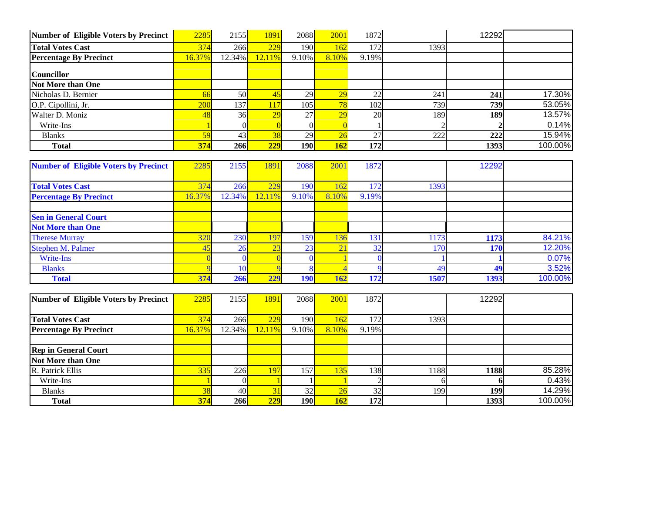| Number of Eligible Voters by Precinct | 2285   | 2155   | 1891        | 2088       | 2001            | 1872  |      | 12292 |         |
|---------------------------------------|--------|--------|-------------|------------|-----------------|-------|------|-------|---------|
| <b>Total Votes Cast</b>               | 374    | 266    | 229         | 190        | 162             | 172   | 1393 |       |         |
| <b>Percentage By Precinct</b>         | 16.37% | 12.34% | 12.11%      | 9.10%      | 8.10%           | 9.19% |      |       |         |
|                                       |        |        |             |            |                 |       |      |       |         |
| Councillor                            |        |        |             |            |                 |       |      |       |         |
| <b>Not More than One</b>              |        |        |             |            |                 |       |      |       |         |
| Nicholas D. Bernier                   | 66     | 50     | $\sqrt{45}$ | 29         | $\overline{29}$ | 22    | 241  | 241   | 17.30%  |
| O.P. Cipollini, Jr.                   | 200    | 137    | 117         | 105        | 78              | 102   | 739  | 739   | 53.05%  |
| Walter D. Moniz                       | 48     | 36     | 29          | 27         | 29              | 20    | 189  | 189   | 13.57%  |
| Write-Ins                             |        |        |             |            |                 |       |      |       | 0.14%   |
| <b>Blanks</b>                         | 59     | 43     | 38          | 29         | 26              | 27    | 222  | 222   | 15.94%  |
| <b>Total</b>                          | 374    | 266    | 229         | <b>190</b> | 162             | 172   |      | 1393  | 100.00% |

| <b>Number of Eligible Voters by Precinct</b> | 2285   | 2155   | 1891   | 2088       | 2001       | 1872  |      | 12292 |         |
|----------------------------------------------|--------|--------|--------|------------|------------|-------|------|-------|---------|
|                                              |        |        |        |            |            |       |      |       |         |
| <b>Total Votes Cast</b>                      | 374    | 266    | 229    | <b>190</b> |            | 172   | 1393 |       |         |
| <b>Percentage By Precinct</b>                | 16.37% | 12.34% | 12.11% | 9.10%      | 8.10%      | 9.19% |      |       |         |
|                                              |        |        |        |            |            |       |      |       |         |
| <b>Sen in General Court</b>                  |        |        |        |            |            |       |      |       |         |
| <b>Not More than One</b>                     |        |        |        |            |            |       |      |       |         |
| <b>Therese Murray</b>                        | 320    | 230    | 197    | 159        | 130        | 131   | 1173 | 1173  | 84.21%  |
| Stephen M. Palmer                            | 45     | 26     | 23     | 23         | $\sim$     | 32    | 170  | 170   | 12.20%  |
| Write-Ins                                    |        |        |        |            |            |       |      |       | 0.07%   |
| <b>Blanks</b>                                |        |        |        |            |            |       | 49   | 49    | 3.52%   |
| <b>Total</b>                                 | 374    | 266    | 229    | <b>190</b> | <b>162</b> | 172   | 1507 | 1393  | 100.00% |

| Number of Eligible Voters by Precinct | 2285      | 2155                  | 1891      | 2088  | 2001       | 1872  |      | 12292      |         |
|---------------------------------------|-----------|-----------------------|-----------|-------|------------|-------|------|------------|---------|
|                                       |           |                       |           |       |            |       |      |            |         |
| <b>Total Votes Cast</b>               | 374       | 266                   | 229       | 190L  | 162        | 172   | 1393 |            |         |
| <b>Percentage By Precinct</b>         | $16.37\%$ | 12.34% <mark> </mark> | $12.11\%$ | 9.10% | 8.10%      | 9.19% |      |            |         |
|                                       |           |                       |           |       |            |       |      |            |         |
| <b>Rep in General Court</b>           |           |                       |           |       |            |       |      |            |         |
| <b>Not More than One</b>              |           |                       |           |       |            |       |      |            |         |
| R. Patrick Ellis                      | $335$     | 226                   | 197       | 157   |            | 138   | 1188 | 1188       | 85.28%  |
| Write-Ins                             |           |                       |           |       |            |       |      |            | 0.43%   |
| <b>Blanks</b>                         | 38        | 40                    |           | 32    |            | 32    | 199  | <b>199</b> | 14.29%  |
| <b>Total</b>                          | 374       | 266                   | 229       | 190l  | <b>162</b> | 172   |      | 1393       | 100.00% |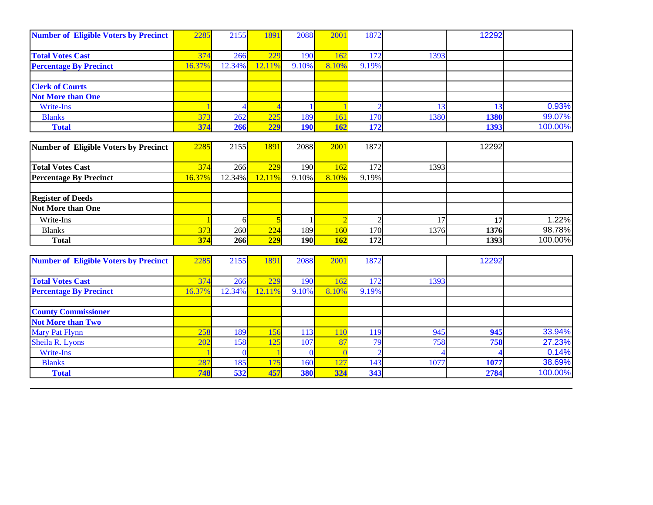| <b>Number of Eligible Voters by Precinct</b>           | 2285   | 2155   | 1891   | 2088         | 200            | 1872             |      | 12292 |         |
|--------------------------------------------------------|--------|--------|--------|--------------|----------------|------------------|------|-------|---------|
|                                                        |        |        |        |              |                |                  |      |       |         |
| <b>Total Votes Cast</b>                                | 374    | 266    | 229    | 190          | 162            | 172              | 1393 |       |         |
| <b>Percentage By Precinct</b>                          | 16.37% | 12.34% | 12.11% | 9.10%        | 8.10%          | 9.19%            |      |       |         |
| <b>Clerk of Courts</b>                                 |        |        |        |              |                |                  |      |       |         |
| <b>Not More than One</b>                               |        |        |        |              |                |                  |      |       |         |
| <b>Write-Ins</b>                                       |        |        |        |              |                | $\overline{2}$   | 13   | 13    | 0.93%   |
| <b>Blanks</b>                                          | 373    | 262    | 225    | 189          | 161            | 170              | 1380 | 1380  | 99.07%  |
| <b>Total</b>                                           | 374    | 266    | 229    | <b>190</b>   | 162            | 172              |      | 1393  | 100.00% |
|                                                        |        |        |        |              |                |                  |      |       |         |
| <b>Number of Eligible Voters by Precinct</b>           | 2285   | 2155   | 1891   | 2088         | 2001           | 1872             |      | 12292 |         |
| <b>Total Votes Cast</b>                                | 374    | 266    | 229    | 190          | 162            | 172              | 1393 |       |         |
| <b>Percentage By Precinct</b>                          | 16.37% | 12.34% | 12.11% | $9.10\%$     | 8.10%          | 9.19%            |      |       |         |
|                                                        |        |        |        |              |                |                  |      |       |         |
| <b>Register of Deeds</b>                               |        |        |        |              |                |                  |      |       |         |
| <b>Not More than One</b>                               |        |        |        |              |                |                  |      |       |         |
| Write-Ins                                              |        | 6      |        | $\mathbf{1}$ | $\overline{2}$ | $\overline{2}$   | 17   | 17    | 1.22%   |
| <b>Blanks</b>                                          | 373    | 260    | 224    | 189          | 160            | 170              | 1376 | 1376  | 98.78%  |
| <b>Total</b>                                           | 374    | 266    | 229    | 190          | 162            | $\overline{172}$ |      | 1393  | 100.00% |
|                                                        |        |        |        |              |                |                  |      |       |         |
| <b>Number of Eligible Voters by Precinct</b>           | 2285   | 2155   | 1891   | 2088         | 2001           | 1872             |      | 12292 |         |
| <b>Total Votes Cast</b>                                | 374    | 266    | 229    | 190          | 162            | 172              | 1393 |       |         |
| <b>Percentage By Precinct</b>                          | 16.37% | 12.34% | 12.11% | 9.10%        | 8.10%          | 9.19%            |      |       |         |
|                                                        |        |        |        |              |                |                  |      |       |         |
| <b>County Commissioner</b><br><b>Not More than Two</b> |        |        |        |              |                |                  |      |       |         |
| <b>Mary Pat Flynn</b>                                  | 258    | 189    | 156    | 113          | 110            | 119              | 945  | 945   | 33.94%  |
| Sheila R. Lyons                                        | 202    | 158    | 125    | 107          | 87             | 79               | 758  | 758   | 27.23%  |
| <b>Write-Ins</b>                                       |        |        |        | $\Omega$     |                | $\overline{2}$   |      |       | 0.14%   |
| <b>Blanks</b>                                          | 287    | 185    | 175    | 160          | 127            | 143              | 1077 | 1077  | 38.69%  |
| <b>Total</b>                                           | 748    | 532    | 457    | 380          | 324            | 343              |      | 2784  | 100.00% |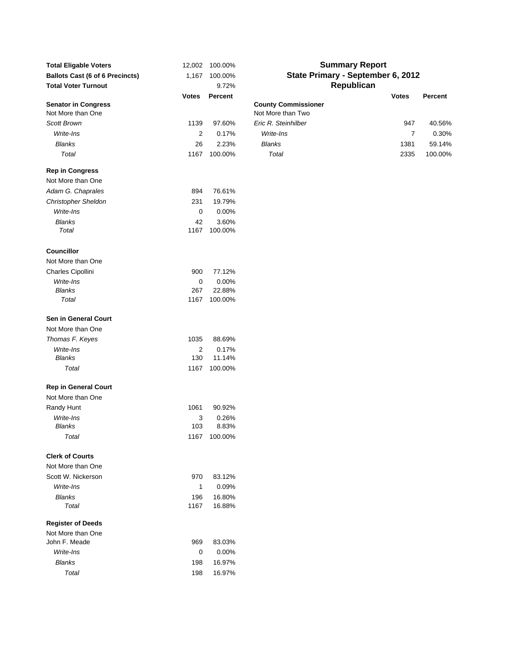| <b>Total Eligable Voters</b>                    | 12,002       | 100.00%        |                                                 | <b>Summary Report</b>             |         |
|-------------------------------------------------|--------------|----------------|-------------------------------------------------|-----------------------------------|---------|
| <b>Ballots Cast (6 of 6 Precincts)</b>          | 1,167        | 100.00%        |                                                 | State Primary - September 6, 2012 |         |
| <b>Total Voter Turnout</b>                      |              | 9.72%          |                                                 | Republican                        |         |
|                                                 | <b>Votes</b> | <b>Percent</b> |                                                 | <b>Votes</b>                      | Percent |
| <b>Senator in Congress</b><br>Not More than One |              |                | <b>County Commissioner</b><br>Not More than Two |                                   |         |
| Scott Brown                                     | 1139         | 97.60%         | Eric R. Steinhilber                             | 947                               | 40.56%  |
| Write-Ins                                       | 2            | 0.17%          | Write-Ins                                       | $\overline{7}$                    | 0.30%   |
| <b>Blanks</b>                                   | 26           | 2.23%          | <b>Blanks</b>                                   | 1381                              | 59.14%  |
| Total                                           | 1167         | 100.00%        | Total                                           | 2335                              | 100.00% |
| <b>Rep in Congress</b>                          |              |                |                                                 |                                   |         |
| Not More than One                               |              |                |                                                 |                                   |         |
| Adam G. Chaprales                               | 894          | 76.61%         |                                                 |                                   |         |
| <b>Christopher Sheldon</b>                      | 231          | 19.79%         |                                                 |                                   |         |
| Write-Ins                                       | 0            | 0.00%          |                                                 |                                   |         |
| <b>Blanks</b>                                   | 42           | 3.60%          |                                                 |                                   |         |
| Total                                           | 1167         | 100.00%        |                                                 |                                   |         |
| <b>Councillor</b>                               |              |                |                                                 |                                   |         |
| Not More than One                               |              |                |                                                 |                                   |         |
| Charles Cipollini                               | 900          | 77.12%         |                                                 |                                   |         |
| Write-Ins                                       | 0            | 0.00%          |                                                 |                                   |         |
| <b>Blanks</b>                                   | 267          | 22.88%         |                                                 |                                   |         |
| Total                                           | 1167         | 100.00%        |                                                 |                                   |         |
| Sen in General Court                            |              |                |                                                 |                                   |         |
| Not More than One                               |              |                |                                                 |                                   |         |
| Thomas F. Keyes                                 | 1035         | 88.69%         |                                                 |                                   |         |
| Write-Ins                                       | 2            | 0.17%          |                                                 |                                   |         |
| <b>Blanks</b>                                   | 130          | 11.14%         |                                                 |                                   |         |
| Total                                           | 1167         | 100.00%        |                                                 |                                   |         |
| <b>Rep in General Court</b>                     |              |                |                                                 |                                   |         |
| Not More than One                               |              |                |                                                 |                                   |         |
| Randy Hunt                                      | 1061         | 90.92%         |                                                 |                                   |         |
| Write-Ins                                       | 3            | 0.26%          |                                                 |                                   |         |
| Blanks                                          | 103          | 8.83%          |                                                 |                                   |         |
| Total                                           |              | 1167 100.00%   |                                                 |                                   |         |
| <b>Clerk of Courts</b>                          |              |                |                                                 |                                   |         |
| Not More than One                               |              |                |                                                 |                                   |         |
| Scott W. Nickerson                              | 970          | 83.12%         |                                                 |                                   |         |
| Write-Ins                                       | 1            | 0.09%          |                                                 |                                   |         |
| <b>Blanks</b>                                   | 196          | 16.80%         |                                                 |                                   |         |
| Total                                           | 1167         | 16.88%         |                                                 |                                   |         |
| <b>Register of Deeds</b>                        |              |                |                                                 |                                   |         |
| Not More than One<br>John F. Meade              | 969          | 83.03%         |                                                 |                                   |         |
| Write-Ins                                       |              | 0.00%          |                                                 |                                   |         |
| <b>Blanks</b>                                   | 0            |                |                                                 |                                   |         |
|                                                 | 198          | 16.97%         |                                                 |                                   |         |
| Total                                           | 198          | 16.97%         |                                                 |                                   |         |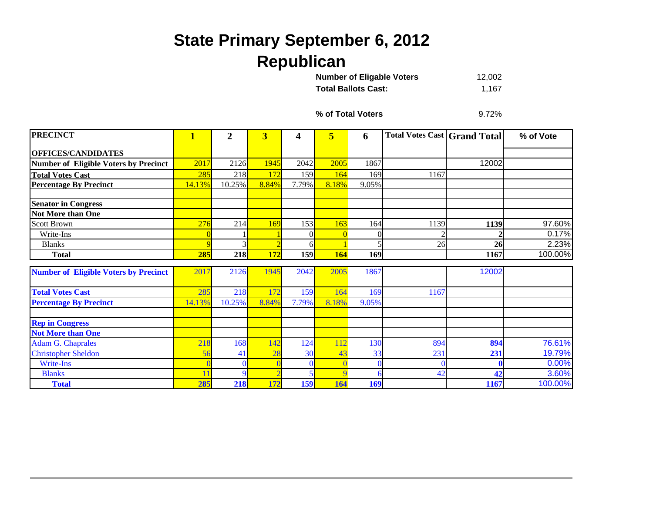## **State Primary September 6, 2012 Republican**

12,002 **Total Ballots Cast:** 1,167 **Number of Eligable Voters** 

**% of Total Voters**

9.72%

| <b>PRECINCT</b>                              | $\mathbf{1}$ | $\overline{2}$ | $\overline{\mathbf{3}}$ | 4          | 5               | 6        | <b>Total Votes Cast   Grand Total</b> |       | % of Vote |
|----------------------------------------------|--------------|----------------|-------------------------|------------|-----------------|----------|---------------------------------------|-------|-----------|
| <b>OFFICES/CANDIDATES</b>                    |              |                |                         |            |                 |          |                                       |       |           |
| <b>Number of Eligible Voters by Precinct</b> | 2017         | 2126           | 1945                    | 2042       | 2005            | 1867     |                                       | 12002 |           |
| <b>Total Votes Cast</b>                      | 285          | 218            | 172                     | 159        | 164             | 169      | 1167                                  |       |           |
| <b>Percentage By Precinct</b>                | 14.13%       | 10.25%         | 8.84%                   | 7.79%      | 8.18%           | 9.05%    |                                       |       |           |
| <b>Senator in Congress</b>                   |              |                |                         |            |                 |          |                                       |       |           |
| <b>Not More than One</b>                     |              |                |                         |            |                 |          |                                       |       |           |
| <b>Scott Brown</b>                           | 276          | 214            | 169                     | 153        | 16 <sub>3</sub> | 164      | 1139                                  | 1139  | 97.60%    |
| Write-Ins                                    |              |                |                         |            |                 | 0        |                                       |       | 0.17%     |
| <b>Blanks</b>                                | 9            |                |                         | 6          |                 |          | 26                                    | 26    | 2.23%     |
| <b>Total</b>                                 | 285          | 218            | <b>172</b>              | <b>159</b> | <b>164</b>      | 169      |                                       | 1167  | 100.00%   |
| <b>Number of Eligible Voters by Precinct</b> | 2017         | 2126           | 1945                    | 2042       | 2005            | 1867     |                                       | 12002 |           |
| <b>Total Votes Cast</b>                      | 285          | 218            |                         | 159        | 64              | 169      | 1167                                  |       |           |
| <b>Percentage By Precinct</b>                | 14.13%       | 10.25%         | 8.84%                   | 7.79%      | 8.18%           | 9.05%    |                                       |       |           |
| <b>Rep in Congress</b>                       |              |                |                         |            |                 |          |                                       |       |           |
| <b>Not More than One</b>                     |              |                |                         |            |                 |          |                                       |       |           |
| <b>Adam G. Chaprales</b>                     | 218          | 168            | $\overline{142}$        | 124        |                 | 130      | 894                                   | 894   | 76.61%    |
| <b>Christopher Sheldon</b>                   | 56           | 41             | 28                      | 30         |                 | 33       | 231                                   | 231   | 19.79%    |
| Write-Ins                                    |              |                |                         | $\Omega$   |                 | $\Omega$ |                                       |       | 0.00%     |
| <b>Blanks</b>                                | 11           | $\mathbf Q$    |                         |            |                 | h        | 42                                    | 42    | 3.60%     |
| <b>Total</b>                                 | 285          | <b>218</b>     | 172                     | 159        | 164             | 169      |                                       | 1167  | 100.00%   |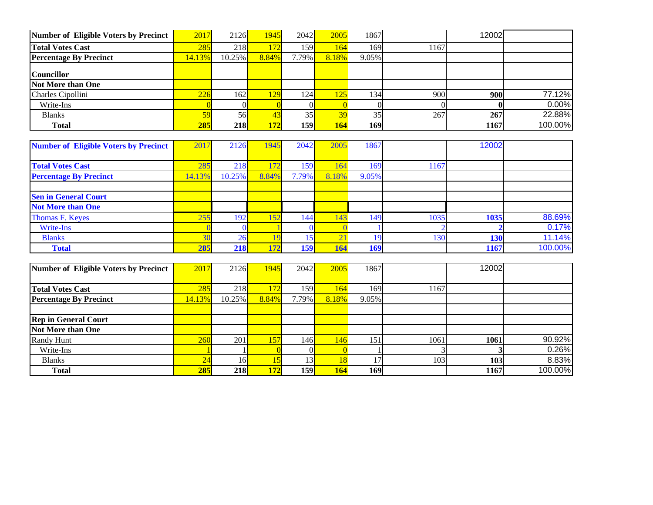| Number of Eligible Voters by Precinct | 2017   | 2126       | 1945  | 2042  | 2005            | 1867  |      | 12002 |         |
|---------------------------------------|--------|------------|-------|-------|-----------------|-------|------|-------|---------|
| <b>Total Votes Cast</b>               | 285    | 218        | 72.   | 159   | 164             | 169   | 1167 |       |         |
| <b>Percentage By Precinct</b>         | 14.13% | $10.25\%$  | 8.84% | 7.79% | 8.18%           | 9.05% |      |       |         |
|                                       |        |            |       |       |                 |       |      |       |         |
| <b>Councillor</b>                     |        |            |       |       |                 |       |      |       |         |
| <b>Not More than One</b>              |        |            |       |       |                 |       |      |       |         |
| Charles Cipollini                     | 226    | 162I       | 129   | 124   | 125             | 134   | 900  | 900   | 77.12%  |
| Write-Ins                             |        |            |       |       |                 |       |      |       | 0.00%   |
| <b>Blanks</b>                         | 59     | 56         | 43    | 35    | $\overline{30}$ | 35    | 267  | 267   | 22.88%  |
| <b>Total</b>                          | 285    | <b>218</b> | 172   | 159   | 164             | 169   |      | 1167  | 100.00% |
|                                       |        |            |       |       |                 |       |      |       |         |

| <b>Number of Eligible Voters by Precinct</b> | 2017   | 2126   | 1945  | 2042       | 2005      | 1867  |      | 12002 |         |
|----------------------------------------------|--------|--------|-------|------------|-----------|-------|------|-------|---------|
|                                              |        |        |       |            |           |       |      |       |         |
| <b>Total Votes Cast</b>                      | 285    | 218    |       | 159        | 164       | 169   | 1167 |       |         |
| <b>Percentage By Precinct</b>                | 14.13% | 10.25% | 8.84% | 7.79%      | 8.18%     | 9.05% |      |       |         |
|                                              |        |        |       |            |           |       |      |       |         |
| <b>Sen in General Court</b>                  |        |        |       |            |           |       |      |       |         |
| <b>Not More than One</b>                     |        |        |       |            |           |       |      |       |         |
| Thomas F. Keyes                              | 255    | 192I   | 152   | 144        | 143       | 149   | 1035 | 1035  | 88.69%  |
| Write-Ins                                    |        |        |       |            |           |       |      |       | 0.17%   |
| <b>Blanks</b>                                | 30     | 26     |       | 15         | $\bigcap$ | 19.   | 130  | 130   | 11.14%  |
| <b>Total</b>                                 | 285    | 218    | 172   | <b>159</b> | 164       | 169   |      | 1167  | 100.00% |

| Number of Eligible Voters by Precinct | 2017   | 2126       | 1945  | 2042  | 2005  | 1867  |      | 12002      |         |
|---------------------------------------|--------|------------|-------|-------|-------|-------|------|------------|---------|
|                                       |        |            |       |       |       |       |      |            |         |
| <b>Total Votes Cast</b>               | 285    | 218        | 172   | 1591  | 164   | 169   | 1167 |            |         |
| <b>Percentage By Precinct</b>         | 14.13% | $10.25\%$  | 8.84% | 7.79% | 8.18% | 9.05% |      |            |         |
|                                       |        |            |       |       |       |       |      |            |         |
| <b>Rep in General Court</b>           |        |            |       |       |       |       |      |            |         |
| Not More than One                     |        |            |       |       |       |       |      |            |         |
| <b>Randy Hunt</b>                     | 260    | 201        | 157   | 146l  | 146   | 151   | 1061 | 1061       | 90.92%  |
| Write-Ins                             |        |            |       |       |       |       |      |            | 0.26%   |
| <b>Blanks</b>                         | 24     | 16L        |       | 13    |       |       | 103  | <b>103</b> | 8.83%   |
| <b>Total</b>                          | 285    | <b>218</b> | 172   | 159   | 164   | 169   |      | 1167       | 100.00% |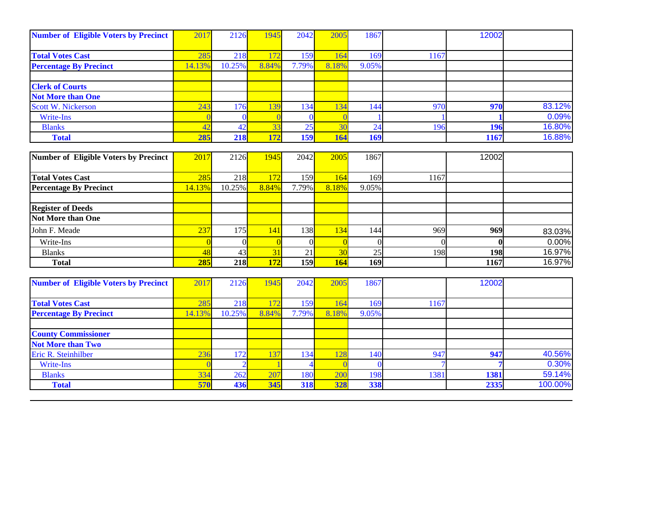| 2017<br><b>Number of Eligible Voters by Precinct</b> | 2126   | 1945  | 2042            | 2005       | 1867  |      | 12002      |        |
|------------------------------------------------------|--------|-------|-----------------|------------|-------|------|------------|--------|
|                                                      |        |       |                 |            |       |      |            |        |
| 285                                                  | 218    | 172   | 159             |            | 169   | 1167 |            |        |
| 14.13%                                               | 10.25% | 8.84% | 7.79%           | 8.18%      | 9.05% |      |            |        |
|                                                      |        |       |                 |            |       |      |            |        |
|                                                      |        |       |                 |            |       |      |            |        |
|                                                      |        |       |                 |            |       |      |            |        |
| 243                                                  | 176    | 139   | 134             | $\sqrt{2}$ | 144   | 970  | 970        | 83.12% |
|                                                      |        |       |                 |            |       |      |            | 0.09%  |
| 42                                                   |        | 33    | 25              |            | 24    |      | 196        | 16.80% |
|                                                      | 218    | 172   | 159             | 164        |       |      | 1167       | 16.88% |
|                                                      |        | 285   | 42 <sub>1</sub> |            |       |      | <b>169</b> | 196    |

| Number of Eligible Voters by Precinct | 2017   | 2126            | 1945  | 2042  | 2005       | 1867  |      | 12002      |        |
|---------------------------------------|--------|-----------------|-------|-------|------------|-------|------|------------|--------|
|                                       |        |                 |       |       |            |       |      |            |        |
| <b>Total Votes Cast</b>               | 285    | 218             |       | 1591  | 164        | 169   | 1167 |            |        |
| <b>Percentage By Precinct</b>         | 14.13% | $10.25\%$       | 8.84% | 7.79% | 8.18%      | 9.05% |      |            |        |
|                                       |        |                 |       |       |            |       |      |            |        |
| <b>Register of Deeds</b>              |        |                 |       |       |            |       |      |            |        |
| <b>Not More than One</b>              |        |                 |       |       |            |       |      |            |        |
| John F. Meade                         | 237    | 175             | 141   | 138I  | 134        | 144   | 969  | 969        | 83.03% |
| Write-Ins                             |        |                 |       |       |            |       |      |            | 0.00%  |
| <b>Blanks</b>                         | 48     | 43 <sup>l</sup> |       | 21    |            | 25    | 198  | <b>198</b> | 16.97% |
| <b>Total</b>                          | 285    | <b>218</b>      | 172   | 159   | <b>164</b> | 169   |      | 1167       | 16.97% |

| <b>Number of Eligible Voters by Precinct</b> | 2017   | 2126   | 945                      | 2042       | 2005  | 1867  |      | 12002 |         |
|----------------------------------------------|--------|--------|--------------------------|------------|-------|-------|------|-------|---------|
|                                              |        |        |                          |            |       |       |      |       |         |
| <b>Total Votes Cast</b>                      | 285    | 218    | $\overline{\phantom{a}}$ | 159        | 164   | 169   | 1167 |       |         |
| <b>Percentage By Precinct</b>                | 14.13% | 10.25% | 8.84%                    | 7.79%      | 8.18% | 9.05% |      |       |         |
|                                              |        |        |                          |            |       |       |      |       |         |
| <b>County Commissioner</b>                   |        |        |                          |            |       |       |      |       |         |
| <b>Not More than Two</b>                     |        |        |                          |            |       |       |      |       |         |
| Eric R. Steinhilber                          | 236    | 172    | 137                      | 134        |       | 140   | 947  | 947   | 40.56%  |
| Write-Ins                                    |        |        |                          |            |       |       |      |       | 0.30%   |
| <b>Blanks</b>                                | 334    | 262    | 207                      | 180        | 200   | 198   | 1381 | 1381  | 59.14%  |
| <b>Total</b>                                 | 570    | 436    | 345                      | <b>318</b> | 328   | 338   |      | 2335  | 100.00% |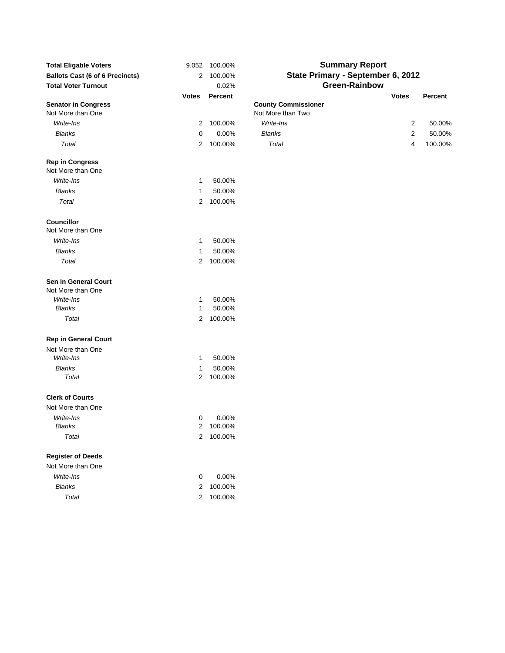| <b>Total Eligable Voters</b><br><b>Ballots Cast (6 of 6 Precincts)</b><br><b>Total Voter Turnout</b> | 9,052<br>2   | 100.00%<br>100.00%<br>0.02% | <b>Summary Report</b><br>State Primary - September 6, 2012<br><b>Green-Rainbow</b> |                                |        |  |  |  |  |  |
|------------------------------------------------------------------------------------------------------|--------------|-----------------------------|------------------------------------------------------------------------------------|--------------------------------|--------|--|--|--|--|--|
|                                                                                                      | <b>Votes</b> | <b>Percent</b>              |                                                                                    | <b>Votes</b><br><b>Percent</b> |        |  |  |  |  |  |
| <b>Senator in Congress</b><br>Not More than One                                                      |              |                             | <b>County Commissioner</b><br>Not More than Two                                    |                                |        |  |  |  |  |  |
| Write-Ins                                                                                            | 2            | 100.00%                     | Write-Ins                                                                          | 2                              | 50.00% |  |  |  |  |  |
| <b>Blanks</b>                                                                                        | 0            | 0.00%                       | <b>Blanks</b>                                                                      | 2                              | 50.00% |  |  |  |  |  |
| Total                                                                                                | 2            | 100.00%                     | Total                                                                              | 100.00%<br>4                   |        |  |  |  |  |  |
| <b>Rep in Congress</b><br>Not More than One                                                          |              |                             |                                                                                    |                                |        |  |  |  |  |  |
| Write-Ins                                                                                            | 1            | 50.00%                      |                                                                                    |                                |        |  |  |  |  |  |
| <b>Blanks</b>                                                                                        | 1            | 50.00%                      |                                                                                    |                                |        |  |  |  |  |  |
| Total                                                                                                | 2            | 100.00%                     |                                                                                    |                                |        |  |  |  |  |  |
| Councillor<br>Not More than One                                                                      |              |                             |                                                                                    |                                |        |  |  |  |  |  |
| Write-Ins                                                                                            | 1            | 50.00%                      |                                                                                    |                                |        |  |  |  |  |  |
| <b>Blanks</b>                                                                                        | 1            | 50.00%                      |                                                                                    |                                |        |  |  |  |  |  |
| Total                                                                                                | 2            | 100.00%                     |                                                                                    |                                |        |  |  |  |  |  |
| Sen in General Court<br>Not More than One                                                            |              |                             |                                                                                    |                                |        |  |  |  |  |  |
| Write-Ins                                                                                            | 1            | 50.00%                      |                                                                                    |                                |        |  |  |  |  |  |
| <b>Blanks</b>                                                                                        | 1            | 50.00%                      |                                                                                    |                                |        |  |  |  |  |  |
| Total                                                                                                | 2            | 100.00%                     |                                                                                    |                                |        |  |  |  |  |  |
| <b>Rep in General Court</b>                                                                          |              |                             |                                                                                    |                                |        |  |  |  |  |  |
| Not More than One                                                                                    |              |                             |                                                                                    |                                |        |  |  |  |  |  |
| Write-Ins                                                                                            | 1            | 50.00%                      |                                                                                    |                                |        |  |  |  |  |  |
| <b>Blanks</b>                                                                                        | 1            | 50.00%                      |                                                                                    |                                |        |  |  |  |  |  |
| Total                                                                                                | 2            | 100.00%                     |                                                                                    |                                |        |  |  |  |  |  |
| <b>Clerk of Courts</b>                                                                               |              |                             |                                                                                    |                                |        |  |  |  |  |  |
| Not More than One                                                                                    |              |                             |                                                                                    |                                |        |  |  |  |  |  |
| Write-Ins                                                                                            | 0            | 0.00%                       |                                                                                    |                                |        |  |  |  |  |  |
| Blanks                                                                                               | 2            | 100.00%                     |                                                                                    |                                |        |  |  |  |  |  |
| Total                                                                                                |              | 2 100.00%                   |                                                                                    |                                |        |  |  |  |  |  |
| <b>Register of Deeds</b>                                                                             |              |                             |                                                                                    |                                |        |  |  |  |  |  |
| Not More than One                                                                                    |              |                             |                                                                                    |                                |        |  |  |  |  |  |
| Write-Ins                                                                                            | 0            | 0.00%                       |                                                                                    |                                |        |  |  |  |  |  |
| <b>Blanks</b>                                                                                        | 2            | 100.00%                     |                                                                                    |                                |        |  |  |  |  |  |
| Total                                                                                                | 2            | 100.00%                     |                                                                                    |                                |        |  |  |  |  |  |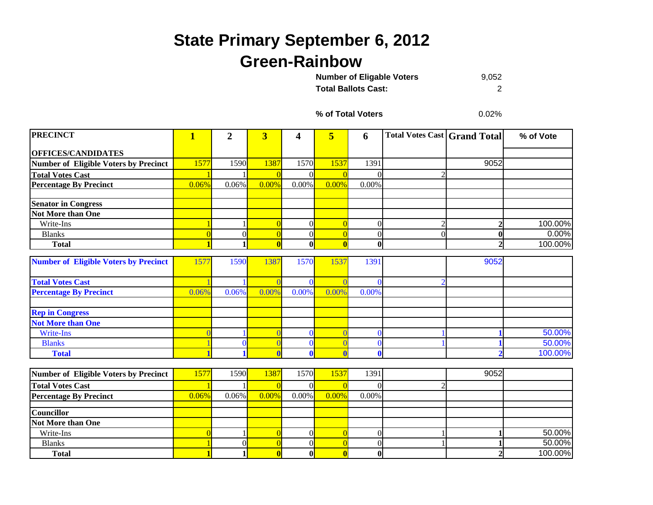## **State Primary September 6, 2012 Green-Rainbow**

9,052 **Total Ballots Cast:** 2**Number of Eligable Voters** 

**% of Total Voters**

0.02%

| <b>PRECINCT</b>                              | $\overline{\mathbf{1}}$ | $\overline{2}$ | $\overline{\mathbf{3}}$ | 4            | $\overline{\mathbf{5}}$ | 6              | <b>Total Votes Cast   Grand Total</b> |                  | % of Vote |
|----------------------------------------------|-------------------------|----------------|-------------------------|--------------|-------------------------|----------------|---------------------------------------|------------------|-----------|
| <b>OFFICES/CANDIDATES</b>                    |                         |                |                         |              |                         |                |                                       |                  |           |
| Number of Eligible Voters by Precinct        | 1577                    | 1590           | 1387                    | 1570         | 1537                    | 1391           |                                       | 9052             |           |
| <b>Total Votes Cast</b>                      |                         |                |                         | $\Omega$     |                         | $\Omega$       |                                       |                  |           |
| <b>Percentage By Precinct</b>                | 0.06%                   | 0.06%          | 0.00%                   | 0.00%        | 0.00%                   | 0.00%          |                                       |                  |           |
| <b>Senator in Congress</b>                   |                         |                |                         |              |                         |                |                                       |                  |           |
| Not More than One                            |                         |                |                         |              |                         |                |                                       |                  |           |
| Write-Ins                                    |                         |                |                         | $\Omega$     |                         | $\overline{0}$ |                                       | $\overline{2}$   | 100.00%   |
| <b>Blanks</b>                                | $\Omega$                | $\Omega$       | $\Omega$                | $\Omega$     |                         | $\overline{0}$ |                                       | $\boldsymbol{0}$ | 0.00%     |
| <b>Total</b>                                 |                         |                | $\mathbf{0}$            | $\mathbf{0}$ |                         | $\bf{0}$       |                                       | $\overline{2}$   | 100.00%   |
| <b>Number of Eligible Voters by Precinct</b> | 1577                    | 1590           | 1387                    | 1570         | 153'                    | 1391           |                                       | 9052             |           |
| <b>Total Votes Cast</b>                      |                         |                |                         | $\Omega$     |                         | $\Omega$       |                                       |                  |           |
| <b>Percentage By Precinct</b>                | 0.06%                   | 0.06%          | 0.00%                   | 0.00%        | 0.00%                   | 0.00%          |                                       |                  |           |
| <b>Rep in Congress</b>                       |                         |                |                         |              |                         |                |                                       |                  |           |
| <b>Not More than One</b>                     |                         |                |                         |              |                         |                |                                       |                  |           |
| Write-Ins                                    |                         |                |                         | $\Omega$     |                         | $\Omega$       |                                       |                  | 50.00%    |
| <b>Blanks</b>                                |                         |                |                         | $\Omega$     |                         | $\Omega$       |                                       |                  | 50.00%    |
| <b>Total</b>                                 |                         |                |                         | $\mathbf{0}$ |                         | $\bf{0}$       |                                       | h                | 100.00%   |
| Number of Eligible Voters by Precinct        | 1577                    | 1590           | 1387                    | 1570         | 1537                    | 1391           |                                       | 9052             |           |
| <b>Total Votes Cast</b>                      |                         |                |                         | $\Omega$     |                         | $\Omega$       |                                       |                  |           |
| <b>Percentage By Precinct</b>                | 0.06%                   | 0.06%          | 0.00%                   | 0.00%        | 0.00%                   | 0.00%          |                                       |                  |           |
| <b>Councillor</b>                            |                         |                |                         |              |                         |                |                                       |                  |           |
| <b>Not More than One</b>                     |                         |                |                         |              |                         |                |                                       |                  |           |
| Write-Ins                                    |                         |                |                         | $\Omega$     |                         | $\overline{0}$ |                                       |                  | 50.00%    |
| <b>Blanks</b>                                |                         | $\Omega$       |                         | $\Omega$     |                         | $\theta$       |                                       |                  | 50.00%    |
| <b>Total</b>                                 |                         | 1              |                         | $\mathbf{0}$ |                         | $\bf{0}$       |                                       | $\overline{2}$   | 100.00%   |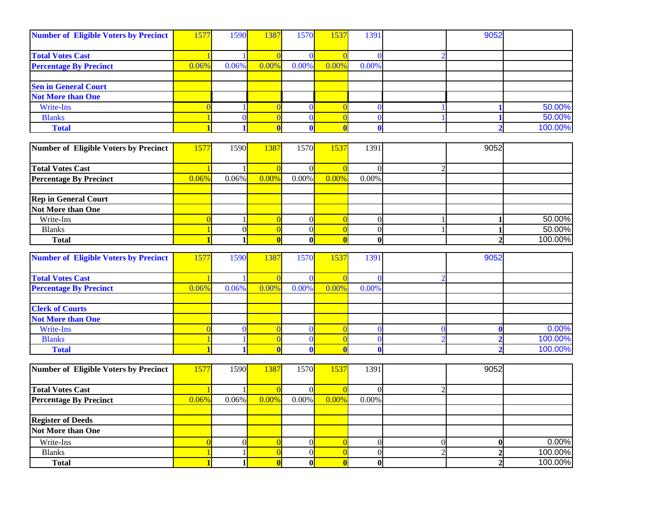| <b>Number of Eligible Voters by Precinct</b> | 1577           | 1590           | 1387           | 1570         | 1537           | 1391             |                | 9052             |         |
|----------------------------------------------|----------------|----------------|----------------|--------------|----------------|------------------|----------------|------------------|---------|
| <b>Total Votes Cast</b>                      |                |                |                | $\mathbf{0}$ |                | $\Omega$         |                |                  |         |
| <b>Percentage By Precinct</b>                | 0.06%          | 0.06%          | 0.00%          | 0.00%        | 0.00%          | 0.00%            |                |                  |         |
|                                              |                |                |                |              |                |                  |                |                  |         |
| <b>Sen in General Court</b>                  |                |                |                |              |                |                  |                |                  |         |
| <b>Not More than One</b>                     |                |                |                |              |                |                  |                |                  |         |
| Write-Ins                                    | $\sqrt{ }$     |                |                | $\mathbf{0}$ |                | $\bf{0}$         |                |                  | 50.00%  |
| <b>Blanks</b>                                |                | $\Omega$       |                | $\mathbf{0}$ |                | $\theta$         |                |                  | 50.00%  |
| <b>Total</b>                                 |                |                | $\mathbf{0}$   | $\mathbf 0$  |                | $\bf{0}$         |                | $\overline{2}$   | 100.00% |
|                                              |                |                |                |              |                |                  |                |                  |         |
| <b>Number of Eligible Voters by Precinct</b> | 1577           | 1590           | 1387           | 1570         | 1537           | 1391             |                | 9052             |         |
| <b>Total Votes Cast</b>                      |                |                |                | $\Omega$     |                | 0                | ┐              |                  |         |
| <b>Percentage By Precinct</b>                | 0.06%          | 0.06%          | 0.00%          | 0.00%        | 0.00%          | 0.00%            |                |                  |         |
|                                              |                |                |                |              |                |                  |                |                  |         |
| <b>Rep in General Court</b>                  |                |                |                |              |                |                  |                |                  |         |
| Not More than One                            |                |                |                |              |                |                  |                |                  |         |
| Write-Ins                                    | $\overline{0}$ |                | $\overline{0}$ | 0            |                | $\boldsymbol{0}$ |                | 1                | 50.00%  |
| <b>Blanks</b>                                |                | $\overline{0}$ | $\overline{0}$ | 0            | $\Omega$       | $\overline{0}$   |                | $\mathbf{1}$     | 50.00%  |
| <b>Total</b>                                 | -1             |                | $\mathbf{0}$   | $\mathbf{0}$ | $\mathbf{0}$   | $\boldsymbol{0}$ |                | $\overline{2}$   | 100.00% |
|                                              |                |                |                |              |                |                  |                |                  |         |
| <b>Number of Eligible Voters by Precinct</b> | 1577           | 1590           | 1387           | 1570         | 1537           | 1391             |                | 9052             |         |
| <b>Total Votes Cast</b>                      |                |                |                | $\Omega$     |                | O                |                |                  |         |
| <b>Percentage By Precinct</b>                | 0.06%          | 0.06%          | 0.00%          | 0.00%        | 0.00%          | 0.00%            |                |                  |         |
|                                              |                |                |                |              |                |                  |                |                  |         |
| <b>Clerk of Courts</b>                       |                |                |                |              |                |                  |                |                  |         |
| <b>Not More than One</b>                     |                |                |                |              |                |                  |                |                  |         |
| Write-Ins                                    | $\sqrt{ }$     | 0              |                | $\mathbf{0}$ |                | $\mathbf{0}$     | ſ              | $\bf{0}$         | 0.00%   |
| <b>Blanks</b>                                |                |                |                | $\Omega$     |                | $\mathbf{0}$     |                | ŋ                | 100.00% |
| <b>Total</b>                                 |                |                |                | $\mathbf{0}$ |                | 0                |                | $\mathcal{I}$    | 100.00% |
|                                              |                |                |                |              |                |                  |                |                  |         |
| <b>Number of Eligible Voters by Precinct</b> | 1577           | 1590           | 1387           | 1570         | 1537           | 1391             |                | 9052             |         |
| <b>Total Votes Cast</b>                      |                |                | $\Omega$       | 0            | $\Omega$       | $\theta$         | $\mathfrak{D}$ |                  |         |
| <b>Percentage By Precinct</b>                | 0.06%          | $0.06\%$       | 0.00%          | $0.00\%$     | 0.00%          | $0.00\%$         |                |                  |         |
|                                              |                |                |                |              |                |                  |                |                  |         |
| <b>Register of Deeds</b>                     |                |                |                |              |                |                  |                |                  |         |
| <b>Not More than One</b>                     |                |                |                |              |                |                  |                |                  |         |
| Write-Ins                                    | $\overline{0}$ | $\overline{0}$ | $\overline{0}$ | 0            | $\overline{0}$ | $\mathbf{0}$     | $\overline{0}$ | $\boldsymbol{0}$ | 0.00%   |
| <b>Blanks</b>                                |                |                | $\Omega$       | 0            | $\theta$       | $\overline{0}$   | C              | $\overline{2}$   | 100.00% |
| <b>Total</b>                                 | $\blacksquare$ | 1              | $\mathbf{0}$   | 0            | $\bf{0}$       | $\boldsymbol{0}$ |                | $\overline{2}$   | 100.00% |